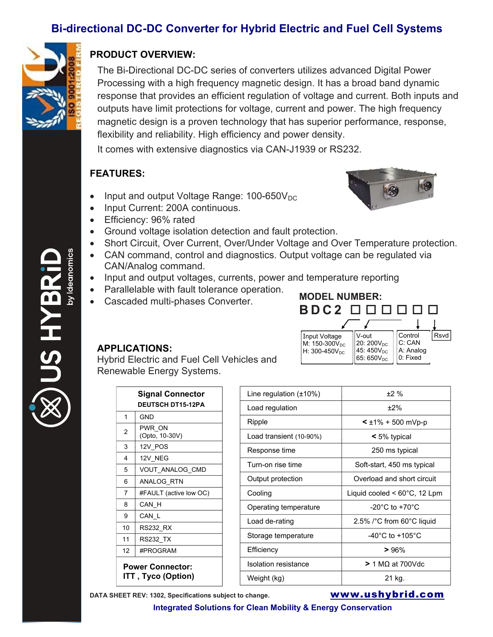## **Bi-directional DC-DC Converter for Hybrid Electric and Fuel Cell Systems**



## **PRODUCT OVERVIEW:**

The Bi-Directional DC-DC series of converters utilizes advanced Digital Power Processing with a high frequency magnetic design. It has a broad band dynamic response that provides an efficient regulation of voltage and current. Both inputs and outputs have limit protections for voltage, current and power. The high frequency magnetic design is a proven technology that has superior performance, response, flexibility and reliability. High efficiency and power density.

It comes with extensive diagnostics via CAN-J1939 or RS232.

## **FEATURES:**

- Input and output Voltage Range:  $100-650V_{DC}$
- Input Current: 200A continuous.
- Efficiency: 96% rated



- Short Circuit, Over Current, Over/Under Voltage and Over Temperature protection.
- CAN command, control and diagnostics. Output voltage can be regulated via CAN/Analog command.
- Input and output voltages, currents, power and temperature reporting
- Parallelable with fault tolerance operation.
- Cascaded multi-phases Converter.



## **APPLICATIONS:**

Hybrid Electric and Fuel Cell Vehicles and Renewable Energy Systems.

|                                                       | <b>Signal Connector</b>  | Line regulation $(\pm 10\%)$ | ±2%                                    |
|-------------------------------------------------------|--------------------------|------------------------------|----------------------------------------|
|                                                       | <b>DEUTSCH DT15-12PA</b> | Load regulation              | $±2\%$                                 |
| 1                                                     | <b>GND</b>               | Ripple                       | $\leq \pm 1\% + 500$ mVp-p             |
| 2                                                     | PWR ON<br>(Opto, 10-30V) | Load transient (10-90%)      | $\leq 5\%$ typical                     |
| 3                                                     | 12V POS                  | Response time                | 250 ms typical                         |
| 4                                                     | 12V NEG                  |                              |                                        |
| 5                                                     | VOUT_ANALOG_CMD          | Turn-on rise time            | Soft-start, 450 ms typical             |
| 6                                                     | ANALOG RTN               | Output protection            | Overload and short circuit             |
| 7                                                     | #FAULT (active low OC)   | Cooling                      | Liquid cooled $< 60^{\circ}$ C, 12 Lpm |
| 8                                                     | CAN_H                    | Operating temperature        | -20 $^{\circ}$ C to +70 $^{\circ}$ C   |
| 9                                                     | CAN L                    | Load de-rating               | 2.5% /°C from 60°C liquid              |
| 10 <sup>°</sup>                                       | <b>RS232 RX</b>          |                              |                                        |
| 11                                                    | <b>RS232 TX</b>          | Storage temperature          | -40 $^{\circ}$ C to +105 $^{\circ}$ C  |
| 12                                                    | #PROGRAM                 | Efficiency                   | >96%                                   |
| <b>Power Connector:</b><br><b>ITT</b> , Tyco (Option) |                          | <b>Isolation resistance</b>  | $> 1 M\Omega$ at 700Vdc                |
|                                                       |                          | Weight (kg)                  | 21 kg.                                 |

**DATA SHEET REV: 1302, Specifications subject to change. www.ushybrid.com** 

**Integrated Solutions for Clean Mobility & Energy Conservation** 

US HYBI